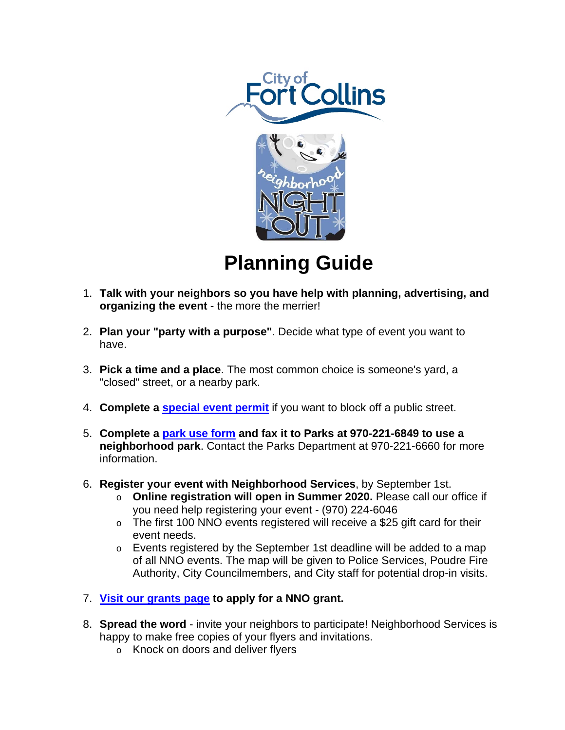



## **Planning Guide**

- 1. **Talk with your neighbors so you have help with planning, advertising, and organizing the event** - the more the merrier!
- 2. **Plan your "party with a purpose"**. Decide what type of event you want to have.
- 3. **Pick a time and a place**. The most common choice is someone's yard, a "closed" street, or a nearby park.
- 4. **Complete a [special event permit](http://www.fcgov.com/police/event-permits.php)** if you want to block off a public street.
- 5. **Complete a [park use form](https://www.fcgov.com/parks/forms.php) and fax it to Parks at 970-221-6849 to use a neighborhood park**. Contact the Parks Department at 970-221-6660 for more information.
- 6. **Register your event with Neighborhood Services**, by September 1st.
	- o **Online registration will open in Summer 2020.** Please call our office if you need help registering your event - (970) 224-6046
	- $\circ$  The first 100 NNO events registered will receive a \$25 gift card for their event needs.
	- o Events registered by the September 1st deadline will be added to a map of all NNO events. The map will be given to Police Services, Poudre Fire Authority, City Councilmembers, and City staff for potential drop-in visits.
- 7. **[Visit our grants page](https://www.fcgov.com/neighborhoodservices/grants.php) to apply for a NNO grant.**
- 8. **Spread the word** invite your neighbors to participate! Neighborhood Services is happy to make free copies of your flyers and invitations.
	- o Knock on doors and deliver flyers